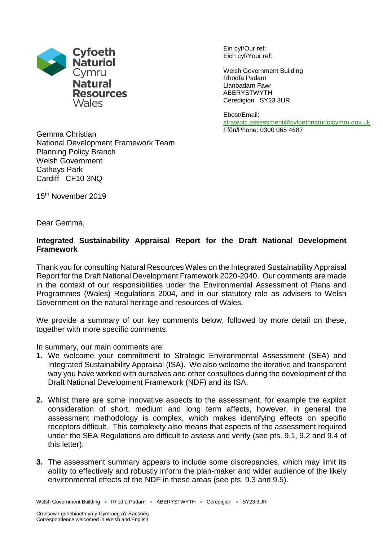

Ein cyf/Our ref: Eich cyf/Your ref:

Welsh Government Building Rhodfa Padarn Llanbadarn Fawr ABERYSTWYTH Ceredigion SY23 3UR

Ebost/Email: [strategic.assessment@cyfoethnaturiolcymru.gov.uk](mailto:strategic.assessment@cyfoethnaturiolcymru.gov.uk) Ffôn/Phone: 0300 065 4687

Gemma Christian National Development Framework Team Planning Policy Branch Welsh Government Cathays Park Cardiff CF10 3NQ

15<sup>th</sup> November 2019

Dear Gemma,

## **Integrated Sustainability Appraisal Report for the Draft National Development Framework**

Thank you for consulting Natural Resources Wales on the Integrated Sustainability Appraisal Report for the Draft National Development Framework 2020-2040. Our comments are made in the context of our responsibilities under the Environmental Assessment of Plans and Programmes (Wales) Regulations 2004, and in our statutory role as advisers to Welsh Government on the natural heritage and resources of Wales.

We provide a summary of our key comments below, followed by more detail on these, together with more specific comments.

In summary, our main comments are:

- **1.** We welcome your commitment to Strategic Environmental Assessment (SEA) and Integrated Sustainability Appraisal (ISA). We also welcome the iterative and transparent way you have worked with ourselves and other consultees during the development of the Draft National Development Framework (NDF) and its ISA.
- **2.** Whilst there are some innovative aspects to the assessment, for example the explicit consideration of short, medium and long term affects, however, in general the assessment methodology is complex, which makes identifying effects on specific receptors difficult. This complexity also means that aspects of the assessment required under the SEA Regulations are difficult to assess and verify (see pts. 9.1, 9.2 and 9.4 of this letter).
- **3.** The assessment summary appears to include some discrepancies, which may limit its ability to effectively and robustly inform the plan-maker and wider audience of the likely environmental effects of the NDF in these areas (see pts. 9.3 and 9.5).

Welsh Government Building • Rhodfa Padarn • ABERYSTWYTH • Ceredigion • SY23 3UR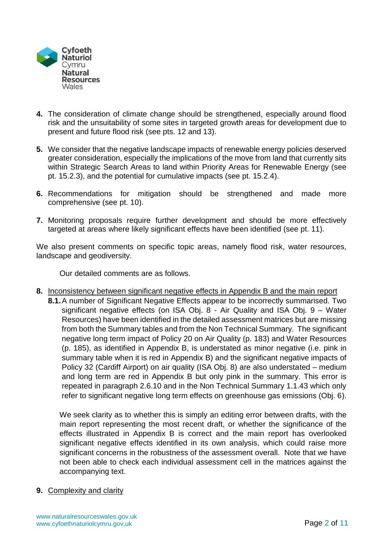

- **4.** The consideration of climate change should be strengthened, especially around flood risk and the unsuitability of some sites in targeted growth areas for development due to present and future flood risk (see pts. 12 and 13).
- **5.** We consider that the negative landscape impacts of renewable energy policies deserved greater consideration, especially the implications of the move from land that currently sits within Strategic Search Areas to land within Priority Areas for Renewable Energy (see pt. 15.2.3), and the potential for cumulative impacts (see pt. 15.2.4).
- **6.** Recommendations for mitigation should be strengthened and made more comprehensive (see pt. 10).
- **7.** Monitoring proposals require further development and should be more effectively targeted at areas where likely significant effects have been identified (see pt. 11).

We also present comments on specific topic areas, namely flood risk, water resources, landscape and geodiversity.

Our detailed comments are as follows.

- **8.** Inconsistency between significant negative effects in Appendix B and the main report
	- **8.1.**A number of Significant Negative Effects appear to be incorrectly summarised. Two significant negative effects (on ISA Obj. 8 - Air Quality and ISA Obj. 9 – Water Resources) have been identified in the detailed assessment matrices but are missing from both the Summary tables and from the Non Technical Summary. The significant negative long term impact of Policy 20 on Air Quality (p. 183) and Water Resources (p. 185), as identified in Appendix B, is understated as minor negative (i.e. pink in summary table when it is red in Appendix B) and the significant negative impacts of Policy 32 (Cardiff Airport) on air quality (ISA Obj. 8) are also understated – medium and long term are red in Appendix B but only pink in the summary. This error is repeated in paragraph 2.6.10 and in the Non Technical Summary 1.1.43 which only refer to significant negative long term effects on greenhouse gas emissions (Obj. 6).

We seek clarity as to whether this is simply an editing error between drafts, with the main report representing the most recent draft, or whether the significance of the effects illustrated in Appendix B is correct and the main report has overlooked significant negative effects identified in its own analysis, which could raise more significant concerns in the robustness of the assessment overall. Note that we have not been able to check each individual assessment cell in the matrices against the accompanying text.

### **9.** Complexity and clarity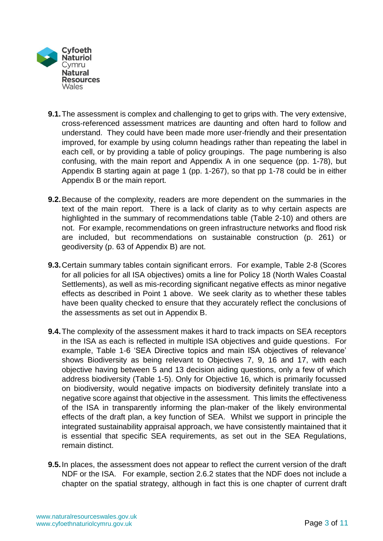

- **9.1.**The assessment is complex and challenging to get to grips with. The very extensive, cross-referenced assessment matrices are daunting and often hard to follow and understand. They could have been made more user-friendly and their presentation improved, for example by using column headings rather than repeating the label in each cell, or by providing a table of policy groupings. The page numbering is also confusing, with the main report and Appendix A in one sequence (pp. 1-78), but Appendix B starting again at page 1 (pp. 1-267), so that pp 1-78 could be in either Appendix B or the main report.
- **9.2.**Because of the complexity, readers are more dependent on the summaries in the text of the main report. There is a lack of clarity as to why certain aspects are highlighted in the summary of recommendations table (Table 2-10) and others are not. For example, recommendations on green infrastructure networks and flood risk are included, but recommendations on sustainable construction (p. 261) or geodiversity (p. 63 of Appendix B) are not.
- **9.3.**Certain summary tables contain significant errors. For example, Table 2-8 (Scores for all policies for all ISA objectives) omits a line for Policy 18 (North Wales Coastal Settlements), as well as mis-recording significant negative effects as minor negative effects as described in Point 1 above. We seek clarity as to whether these tables have been quality checked to ensure that they accurately reflect the conclusions of the assessments as set out in Appendix B.
- **9.4.**The complexity of the assessment makes it hard to track impacts on SEA receptors in the ISA as each is reflected in multiple ISA objectives and guide questions. For example, Table 1-6 'SEA Directive topics and main ISA objectives of relevance' shows Biodiversity as being relevant to Objectives 7, 9, 16 and 17, with each objective having between 5 and 13 decision aiding questions, only a few of which address biodiversity (Table 1-5). Only for Objective 16, which is primarily focussed on biodiversity, would negative impacts on biodiversity definitely translate into a negative score against that objective in the assessment. This limits the effectiveness of the ISA in transparently informing the plan-maker of the likely environmental effects of the draft plan, a key function of SEA. Whilst we support in principle the integrated sustainability appraisal approach, we have consistently maintained that it is essential that specific SEA requirements, as set out in the SEA Regulations, remain distinct.
- **9.5.**In places, the assessment does not appear to reflect the current version of the draft NDF or the ISA. For example, section 2.6.2 states that the NDF does not include a chapter on the spatial strategy, although in fact this is one chapter of current draft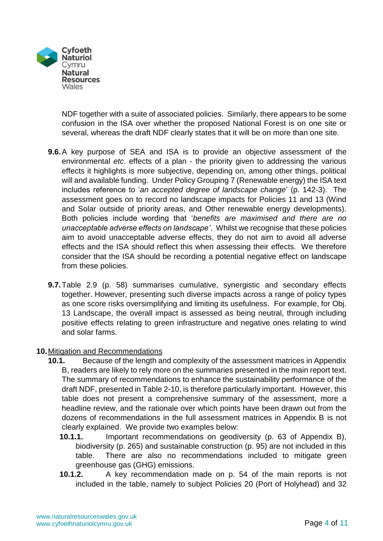

NDF together with a suite of associated policies. Similarly, there appears to be some confusion in the ISA over whether the proposed National Forest is on one site or several, whereas the draft NDF clearly states that it will be on more than one site.

- **9.6.**A key purpose of SEA and ISA is to provide an objective assessment of the environmental *etc*. effects of a plan - the priority given to addressing the various effects it highlights is more subjective, depending on, among other things, political will and available funding. Under Policy Grouping 7 (Renewable energy) the ISA text includes reference to '*an accepted degree of landscape change*' (p. 142-3). The assessment goes on to record no landscape impacts for Policies 11 and 13 (Wind and Solar outside of priority areas, and Other renewable energy developments). Both policies include wording that '*benefits are maximised and there are no unacceptable adverse effects on landscape'*. Whilst we recognise that these policies aim to avoid unacceptable adverse effects, they do not aim to avoid all adverse effects and the ISA should reflect this when assessing their effects. We therefore consider that the ISA should be recording a potential negative effect on landscape from these policies.
- **9.7.**Table 2.9 (p. 58) summarises cumulative, synergistic and secondary effects together. However, presenting such diverse impacts across a range of policy types as one score risks oversimplifying and limiting its usefulness. For example, for Obj. 13 Landscape, the overall impact is assessed as being neutral, through including positive effects relating to green infrastructure and negative ones relating to wind and solar farms.

### **10.**Mitigation and Recommendations

- **10.1.** Because of the length and complexity of the assessment matrices in Appendix B, readers are likely to rely more on the summaries presented in the main report text. The summary of recommendations to enhance the sustainability performance of the draft NDF, presented in Table 2-10, is therefore particularly important. However, this table does not present a comprehensive summary of the assessment, more a headline review, and the rationale over which points have been drawn out from the dozens of recommendations in the full assessment matrices in Appendix B is not clearly explained. We provide two examples below:
	- **10.1.1.** Important recommendations on geodiversity (p. 63 of Appendix B), biodiversity (p. 265) and sustainable construction (p. 95) are not included in this table. There are also no recommendations included to mitigate green greenhouse gas (GHG) emissions.
	- **10.1.2.** A key recommendation made on p. 54 of the main reports is not included in the table, namely to subject Policies 20 (Port of Holyhead) and 32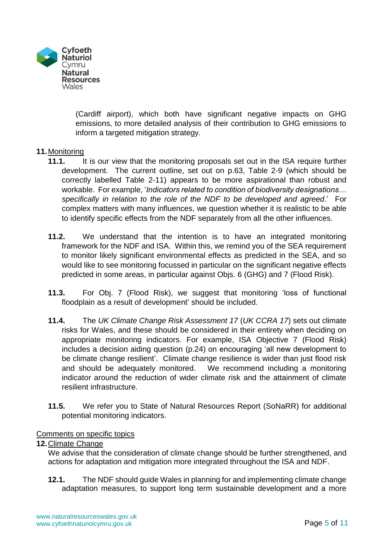

(Cardiff airport), which both have significant negative impacts on GHG emissions, to more detailed analysis of their contribution to GHG emissions to inform a targeted mitigation strategy.

## **11.**Monitoring

- **11.1.** It is our view that the monitoring proposals set out in the ISA require further development. The current outline, set out on p.63, Table 2-9 (which should be correctly labelled Table 2-11) appears to be more aspirational than robust and workable. For example, '*Indicators related to condition of biodiversity designations… specifically in relation to the role of the NDF to be developed and agreed*.' For complex matters with many influences, we question whether it is realistic to be able to identify specific effects from the NDF separately from all the other influences.
- **11.2.** We understand that the intention is to have an integrated monitoring framework for the NDF and ISA. Within this, we remind you of the SEA requirement to monitor likely significant environmental effects as predicted in the SEA, and so would like to see monitoring focussed in particular on the significant negative effects predicted in some areas, in particular against Objs. 6 (GHG) and 7 (Flood Risk).
- **11.3.** For Obj. 7 (Flood Risk), we suggest that monitoring 'loss of functional floodplain as a result of development' should be included.
- **11.4.** The *UK Climate Change Risk Assessment 17* (*UK CCRA 17*) sets out climate risks for Wales, and these should be considered in their entirety when deciding on appropriate monitoring indicators. For example, ISA Objective 7 (Flood Risk) includes a decision aiding question (p.24) on encouraging 'all new development to be climate change resilient'. Climate change resilience is wider than just flood risk and should be adequately monitored. We recommend including a monitoring indicator around the reduction of wider climate risk and the attainment of climate resilient infrastructure.
- **11.5.** We refer you to State of Natural Resources Report (SoNaRR) for additional potential monitoring indicators.

### Comments on specific topics

### **12.**Climate Change

We advise that the consideration of climate change should be further strengthened, and actions for adaptation and mitigation more integrated throughout the ISA and NDF.

**12.1.** The NDF should guide Wales in planning for and implementing climate change adaptation measures, to support long term sustainable development and a more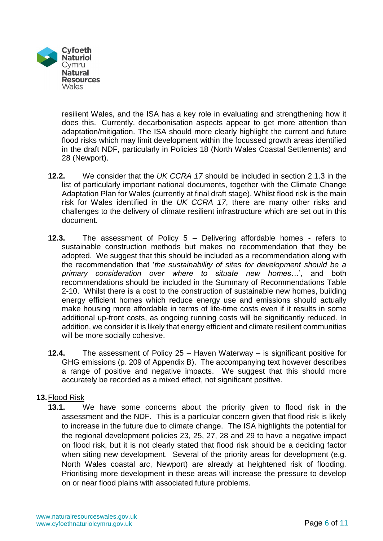

resilient Wales, and the ISA has a key role in evaluating and strengthening how it does this. Currently, decarbonisation aspects appear to get more attention than adaptation/mitigation. The ISA should more clearly highlight the current and future flood risks which may limit development within the focussed growth areas identified in the draft NDF, particularly in Policies 18 (North Wales Coastal Settlements) and 28 (Newport).

- **12.2.** We consider that the *UK CCRA 17* should be included in section 2.1.3 in the list of particularly important national documents, together with the Climate Change Adaptation Plan for Wales (currently at final draft stage). Whilst flood risk is the main risk for Wales identified in the *UK CCRA 17*, there are many other risks and challenges to the delivery of climate resilient infrastructure which are set out in this document.
- **12.3.** The assessment of Policy 5 Delivering affordable homes refers to sustainable construction methods but makes no recommendation that they be adopted. We suggest that this should be included as a recommendation along with the recommendation that '*the sustainability of sites for development should be a primary consideration over where to situate new homes…*', and both recommendations should be included in the Summary of Recommendations Table 2-10. Whilst there is a cost to the construction of sustainable new homes, building energy efficient homes which reduce energy use and emissions should actually make housing more affordable in terms of life-time costs even if it results in some additional up-front costs, as ongoing running costs will be significantly reduced. In addition, we consider it is likely that energy efficient and climate resilient communities will be more socially cohesive.
- **12.4.** The assessment of Policy 25 Haven Waterway is significant positive for GHG emissions (p. 209 of Appendix B). The accompanying text however describes a range of positive and negative impacts. We suggest that this should more accurately be recorded as a mixed effect, not significant positive.

### **13.**Flood Risk

**13.1.** We have some concerns about the priority given to flood risk in the assessment and the NDF. This is a particular concern given that flood risk is likely to increase in the future due to climate change. The ISA highlights the potential for the regional development policies 23, 25, 27, 28 and 29 to have a negative impact on flood risk, but it is not clearly stated that flood risk should be a deciding factor when siting new development. Several of the priority areas for development (e.g. North Wales coastal arc, Newport) are already at heightened risk of flooding. Prioritising more development in these areas will increase the pressure to develop on or near flood plains with associated future problems.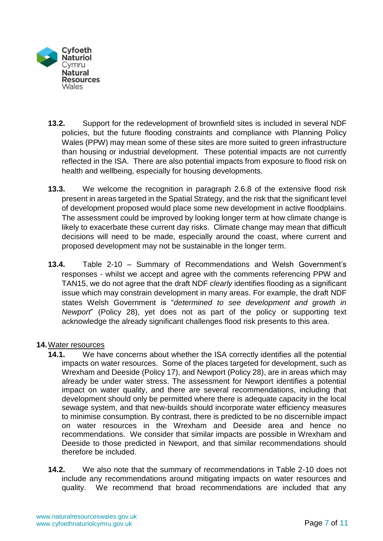

- **13.2.** Support for the redevelopment of brownfield sites is included in several NDF policies, but the future flooding constraints and compliance with Planning Policy Wales (PPW) may mean some of these sites are more suited to green infrastructure than housing or industrial development. These potential impacts are not currently reflected in the ISA. There are also potential impacts from exposure to flood risk on health and wellbeing, especially for housing developments.
- **13.3.** We welcome the recognition in paragraph 2.6.8 of the extensive flood risk present in areas targeted in the Spatial Strategy, and the risk that the significant level of development proposed would place some new development in active floodplains. The assessment could be improved by looking longer term at how climate change is likely to exacerbate these current day risks. Climate change may mean that difficult decisions will need to be made, especially around the coast, where current and proposed development may not be sustainable in the longer term.
- **13.4.** Table 2-10 Summary of Recommendations and Welsh Government's responses - whilst we accept and agree with the comments referencing PPW and TAN15, we do not agree that the draft NDF *clearly* identifies flooding as a significant issue which may constrain development in many areas. For example, the draft NDF states Welsh Government is "*determined to see development and growth in Newport*" (Policy 28), yet does not as part of the policy or supporting text acknowledge the already significant challenges flood risk presents to this area.

### **14.**Water resources

- **14.1.** We have concerns about whether the ISA correctly identifies all the potential impacts on water resources. Some of the places targeted for development, such as Wrexham and Deeside (Policy 17), and Newport (Policy 28), are in areas which may already be under water stress. The assessment for Newport identifies a potential impact on water quality, and there are several recommendations, including that development should only be permitted where there is adequate capacity in the local sewage system, and that new-builds should incorporate water efficiency measures to minimise consumption. By contrast, there is predicted to be no discernible impact on water resources in the Wrexham and Deeside area and hence no recommendations. We consider that similar impacts are possible in Wrexham and Deeside to those predicted in Newport, and that similar recommendations should therefore be included.
- **14.2.** We also note that the summary of recommendations in Table 2-10 does not include any recommendations around mitigating impacts on water resources and quality. We recommend that broad recommendations are included that any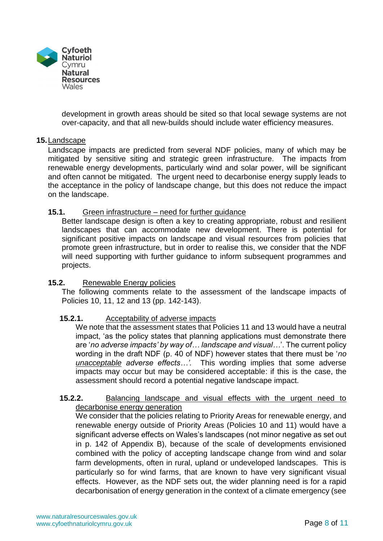

development in growth areas should be sited so that local sewage systems are not over-capacity, and that all new-builds should include water efficiency measures.

### **15.**Landscape

Landscape impacts are predicted from several NDF policies, many of which may be mitigated by sensitive siting and strategic green infrastructure. The impacts from renewable energy developments, particularly wind and solar power, will be significant and often cannot be mitigated. The urgent need to decarbonise energy supply leads to the acceptance in the policy of landscape change, but this does not reduce the impact on the landscape.

### **15.1.** Green infrastructure – need for further guidance

Better landscape design is often a key to creating appropriate, robust and resilient landscapes that can accommodate new development. There is potential for significant positive impacts on landscape and visual resources from policies that promote green infrastructure, but in order to realise this, we consider that the NDF will need supporting with further guidance to inform subsequent programmes and projects.

### **15.2.** Renewable Energy policies

The following comments relate to the assessment of the landscape impacts of Policies 10, 11, 12 and 13 (pp. 142-143).

### **15.2.1.** Acceptability of adverse impacts

We note that the assessment states that Policies 11 and 13 would have a neutral impact, 'as the policy states that planning applications must demonstrate there are '*no adverse impacts' by way of… landscape and visual…*'. The current policy wording in the draft NDF (p. 40 of NDF) however states that there must be '*no unacceptable adverse effects…'.* This wording implies that some adverse impacts may occur but may be considered acceptable: if this is the case, the assessment should record a potential negative landscape impact.

#### **15.2.2.** Balancing landscape and visual effects with the urgent need to decarbonise energy generation

We consider that the policies relating to Priority Areas for renewable energy, and renewable energy outside of Priority Areas (Policies 10 and 11) would have a significant adverse effects on Wales's landscapes (not minor negative as set out in p. 142 of Appendix B), because of the scale of developments envisioned combined with the policy of accepting landscape change from wind and solar farm developments, often in rural, upland or undeveloped landscapes. This is particularly so for wind farms, that are known to have very significant visual effects. However, as the NDF sets out, the wider planning need is for a rapid decarbonisation of energy generation in the context of a climate emergency (see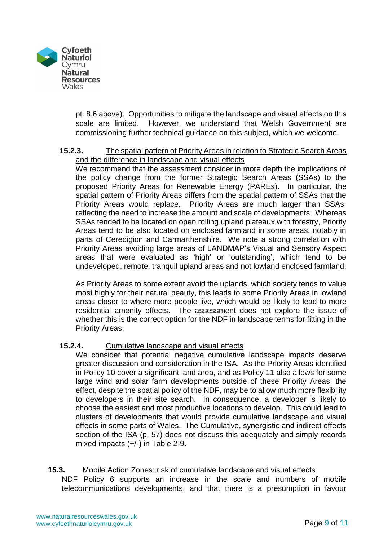

pt. 8.6 above). Opportunities to mitigate the landscape and visual effects on this scale are limited. However, we understand that Welsh Government are commissioning further technical guidance on this subject, which we welcome.

### **15.2.3.** The spatial pattern of Priority Areas in relation to Strategic Search Areas and the difference in landscape and visual effects

We recommend that the assessment consider in more depth the implications of the policy change from the former Strategic Search Areas (SSAs) to the proposed Priority Areas for Renewable Energy (PAREs). In particular, the spatial pattern of Priority Areas differs from the spatial pattern of SSAs that the Priority Areas would replace. Priority Areas are much larger than SSAs, reflecting the need to increase the amount and scale of developments. Whereas SSAs tended to be located on open rolling upland plateaux with forestry, Priority Areas tend to be also located on enclosed farmland in some areas, notably in parts of Ceredigion and Carmarthenshire. We note a strong correlation with Priority Areas avoiding large areas of LANDMAP's Visual and Sensory Aspect areas that were evaluated as 'high' or 'outstanding', which tend to be undeveloped, remote, tranquil upland areas and not lowland enclosed farmland.

As Priority Areas to some extent avoid the uplands, which society tends to value most highly for their natural beauty, this leads to some Priority Areas in lowland areas closer to where more people live, which would be likely to lead to more residential amenity effects. The assessment does not explore the issue of whether this is the correct option for the NDF in landscape terms for fitting in the Priority Areas.

### **15.2.4.** Cumulative landscape and visual effects

We consider that potential negative cumulative landscape impacts deserve greater discussion and consideration in the ISA. As the Priority Areas identified in Policy 10 cover a significant land area, and as Policy 11 also allows for some large wind and solar farm developments outside of these Priority Areas, the effect, despite the spatial policy of the NDF, may be to allow much more flexibility to developers in their site search. In consequence, a developer is likely to choose the easiest and most productive locations to develop. This could lead to clusters of developments that would provide cumulative landscape and visual effects in some parts of Wales. The Cumulative, synergistic and indirect effects section of the ISA (p. 57) does not discuss this adequately and simply records mixed impacts (+/-) in Table 2-9.

# **15.3.** Mobile Action Zones: risk of cumulative landscape and visual effects

NDF Policy 6 supports an increase in the scale and numbers of mobile telecommunications developments, and that there is a presumption in favour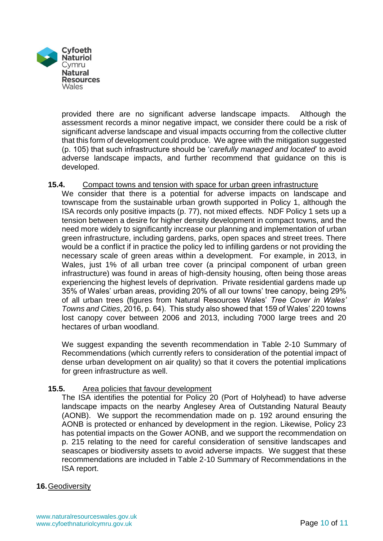

provided there are no significant adverse landscape impacts. Although the assessment records a minor negative impact, we consider there could be a risk of significant adverse landscape and visual impacts occurring from the collective clutter that this form of development could produce. We agree with the mitigation suggested (p. 105) that such infrastructure should be '*carefully managed and located*' to avoid adverse landscape impacts, and further recommend that guidance on this is developed.

### **15.4.** Compact towns and tension with space for urban green infrastructure

We consider that there is a potential for adverse impacts on landscape and townscape from the sustainable urban growth supported in Policy 1, although the ISA records only positive impacts (p. 77), not mixed effects. NDF Policy 1 sets up a tension between a desire for higher density development in compact towns, and the need more widely to significantly increase our planning and implementation of urban green infrastructure, including gardens, parks, open spaces and street trees. There would be a conflict if in practice the policy led to infilling gardens or not providing the necessary scale of green areas within a development. For example, in 2013, in Wales, just 1% of all urban tree cover (a principal component of urban green infrastructure) was found in areas of high-density housing, often being those areas experiencing the highest levels of deprivation. Private residential gardens made up 35% of Wales' urban areas, providing 20% of all our towns' tree canopy, being 29% of all urban trees (figures from Natural Resources Wales' *Tree Cover in Wales' Towns and Cities*, 2016, p. 64). This study also showed that 159 of Wales' 220 towns lost canopy cover between 2006 and 2013, including 7000 large trees and 20 hectares of urban woodland.

We suggest expanding the seventh recommendation in Table 2-10 Summary of Recommendations (which currently refers to consideration of the potential impact of dense urban development on air quality) so that it covers the potential implications for green infrastructure as well.

### **15.5.** Area policies that favour development

The ISA identifies the potential for Policy 20 (Port of Holyhead) to have adverse landscape impacts on the nearby Anglesey Area of Outstanding Natural Beauty (AONB). We support the recommendation made on p. 192 around ensuring the AONB is protected or enhanced by development in the region. Likewise, Policy 23 has potential impacts on the Gower AONB, and we support the recommendation on p. 215 relating to the need for careful consideration of sensitive landscapes and seascapes or biodiversity assets to avoid adverse impacts. We suggest that these recommendations are included in Table 2-10 Summary of Recommendations in the ISA report.

### **16.**Geodiversity